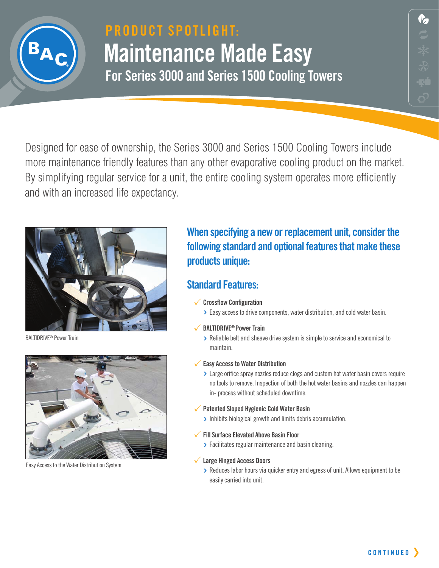

## **PRODUCT SPOTLIGHT: Maintenance Made Easy For Series 3000 and Series 1500 Cooling Towers**

 $\mathcal{L}$ 

Designed for ease of ownership, the Series 3000 and Series 1500 Cooling Towers include more maintenance friendly features than any other evaporative cooling product on the market. By simplifying regular service for a unit, the entire cooling system operates more efficiently and with an increased life expectancy.



BALTIDRIVE**®** Power Train



Easy Access to the Water Distribution System

## **When specifying a new or replacement unit, consider the following standard and optional features that make these products unique:**

### **Standard Features:**

- 3**Crossflow Configuration**
	- **›** Easy access to drive components, water distribution, and cold water basin.

### 3**BALTIDRIVE® Power Train**

- **›** Reliable belt and sheave drive system is simple to service and economical to maintain.
- 3**Easy Access to Water Distribution**
	- **>** Large orifice spray nozzles reduce clogs and custom hot water basin covers require no tools to remove. Inspection of both the hot water basins and nozzles can happen in- process without scheduled downtime.
- 3**Patented Sloped Hygienic Cold Water Basin**
	- **›** Inhibits biological growth and limits debris accumulation.
- 3**Fill Surface Elevated Above Basin Floor**
- **›** Facilitates regular maintenance and basin cleaning.

### 3**Large Hinged Access Doors**

**›** Reduces labor hours via quicker entry and egress of unit. Allows equipment to be easily carried into unit.

**C O N T I N U E D**